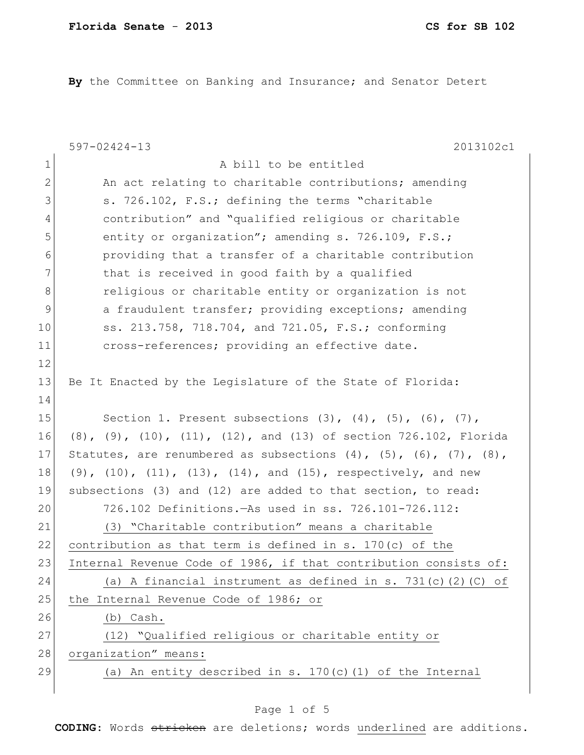**By** the Committee on Banking and Insurance; and Senator Detert

|                | 2013102c1<br>$597 - 02424 - 13$                                                   |
|----------------|-----------------------------------------------------------------------------------|
| $\mathbf 1$    | A bill to be entitled                                                             |
| $\mathbf{2}$   | An act relating to charitable contributions; amending                             |
| 3              | s. 726.102, F.S.; defining the terms "charitable                                  |
| $\overline{4}$ | contribution" and "qualified religious or charitable                              |
| 5              | entity or organization"; amending s. 726.109, F.S.;                               |
| 6              | providing that a transfer of a charitable contribution                            |
| 7              | that is received in good faith by a qualified                                     |
| 8              | religious or charitable entity or organization is not                             |
| 9              | a fraudulent transfer; providing exceptions; amending                             |
| 10             | ss. 213.758, 718.704, and 721.05, F.S.; conforming                                |
| 11             | cross-references; providing an effective date.                                    |
| 12             |                                                                                   |
| 13             | Be It Enacted by the Legislature of the State of Florida:                         |
| 14             |                                                                                   |
| 15             | Section 1. Present subsections $(3)$ , $(4)$ , $(5)$ , $(6)$ , $(7)$ ,            |
| 16             | $(8)$ , $(9)$ , $(10)$ , $(11)$ , $(12)$ , and $(13)$ of section 726.102, Florida |
| 17             | Statutes, are renumbered as subsections $(4)$ , $(5)$ , $(6)$ , $(7)$ , $(8)$ ,   |
| 18             | (9), $(10)$ , $(11)$ , $(13)$ , $(14)$ , and $(15)$ , respectively, and new       |
| 19             | subsections (3) and (12) are added to that section, to read:                      |
| 20             | 726.102 Definitions. - As used in ss. 726.101-726.112:                            |
| 21             | (3) "Charitable contribution" means a charitable                                  |
| 22             | contribution as that term is defined in s. $170(c)$ of the                        |
| 23             | Internal Revenue Code of 1986, if that contribution consists of:                  |
| 24             | (a) A financial instrument as defined in s. 731(c)(2)(C) of                       |
| 25             | the Internal Revenue Code of 1986; or                                             |
| 26             | (b) Cash.                                                                         |
| 27             | (12) "Qualified religious or charitable entity or                                 |
| 28             | organization" means:                                                              |
| 29             | (a) An entity described in s. 170(c) (1) of the Internal                          |
|                |                                                                                   |

# Page 1 of 5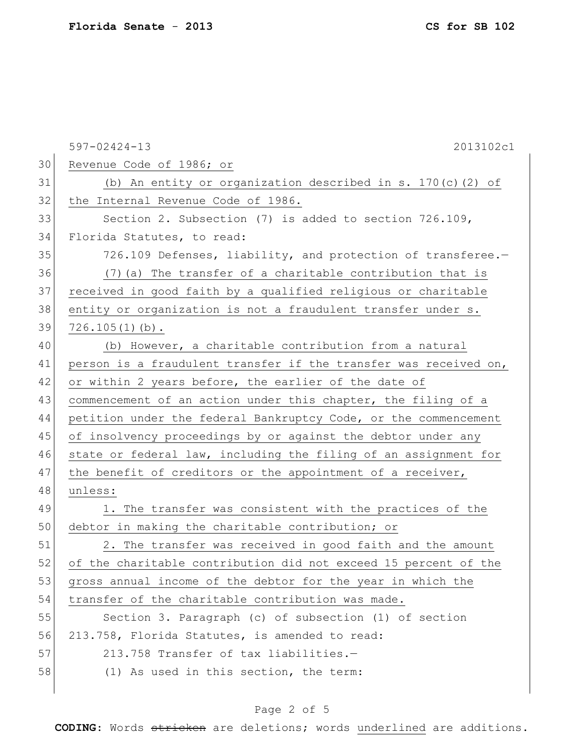597-02424-13 2013102c1 30 Revenue Code of 1986; or 31 (b) An entity or organization described in s. 170(c)(2) of 32 the Internal Revenue Code of 1986. 33 Section 2. Subsection (7) is added to section 726.109, 34 Florida Statutes, to read: 35 726.109 Defenses, liability, and protection of transferee.-36 (7)(a) The transfer of a charitable contribution that is 37 received in good faith by a qualified religious or charitable 38 entity or organization is not a fraudulent transfer under s.  $39$  726.105(1)(b). 40 (b) However, a charitable contribution from a natural 41 person is a fraudulent transfer if the transfer was received on, 42 or within 2 years before, the earlier of the date of 43 commencement of an action under this chapter, the filing of a 44 petition under the federal Bankruptcy Code, or the commencement 45 of insolvency proceedings by or against the debtor under any 46 state or federal law, including the filing of an assignment for 47 the benefit of creditors or the appointment of a receiver, 48 unless: 49 1. The transfer was consistent with the practices of the 50 debtor in making the charitable contribution; or 51 2. The transfer was received in good faith and the amount 52 of the charitable contribution did not exceed 15 percent of the 53 gross annual income of the debtor for the year in which the 54 transfer of the charitable contribution was made. 55 Section 3. Paragraph (c) of subsection (1) of section 56 213.758, Florida Statutes, is amended to read: 57 213.758 Transfer of tax liabilities.— 58 (1) As used in this section, the term:

## Page 2 of 5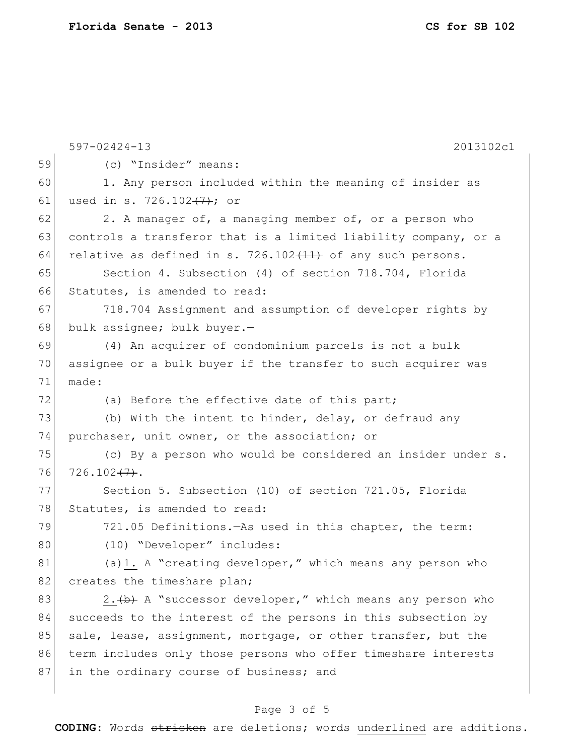|    | $597 - 02424 - 13$<br>2013102c1                                 |
|----|-----------------------------------------------------------------|
| 59 | (c) "Insider" means:                                            |
| 60 | 1. Any person included within the meaning of insider as         |
| 61 | used in s. 726.102 <del>(7)</del> ; or                          |
| 62 | 2. A manager of, a managing member of, or a person who          |
| 63 | controls a transferor that is a limited liability company, or a |
| 64 | relative as defined in s. 726.102 $(11)$ of any such persons.   |
| 65 | Section 4. Subsection (4) of section 718.704, Florida           |
| 66 | Statutes, is amended to read:                                   |
| 67 | 718.704 Assignment and assumption of developer rights by        |
| 68 | bulk assignee; bulk buyer.-                                     |
| 69 | (4) An acquirer of condominium parcels is not a bulk            |
| 70 | assignee or a bulk buyer if the transfer to such acquirer was   |
| 71 | made:                                                           |
| 72 | (a) Before the effective date of this part;                     |
| 73 | (b) With the intent to hinder, delay, or defraud any            |
| 74 | purchaser, unit owner, or the association; or                   |
| 75 | (c) By a person who would be considered an insider under s.     |
| 76 | 726.102 (7).                                                    |
| 77 | Section 5. Subsection (10) of section 721.05, Florida           |
| 78 | Statutes, is amended to read:                                   |
| 79 | 721.05 Definitions. As used in this chapter, the term:          |
| 80 | (10) "Developer" includes:                                      |
| 81 | (a) 1. A "creating developer," which means any person who       |
| 82 | creates the timeshare plan;                                     |
| 83 | 2. (b) A "successor developer," which means any person who      |
| 84 | succeeds to the interest of the persons in this subsection by   |
| 85 | sale, lease, assignment, mortgage, or other transfer, but the   |
| 86 | term includes only those persons who offer timeshare interests  |
| 87 | in the ordinary course of business; and                         |
|    |                                                                 |

# Page 3 of 5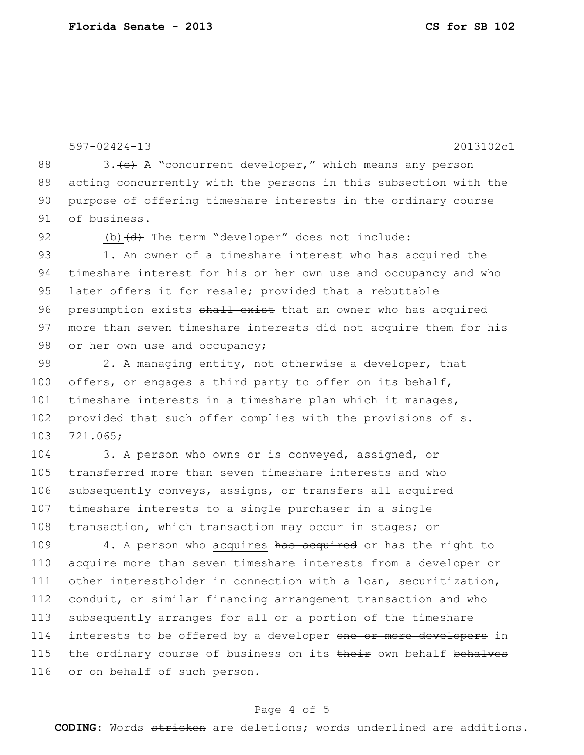```
597-02424-13 2013102c1
88 \vert 3. (c) A "concurrent developer," which means any person
89 acting concurrently with the persons in this subsection with the 
90 purpose of offering timeshare interests in the ordinary course
91 of business.
92 (b) \left(\frac{d}{dt}\right) The term "developer" does not include:
93 1. An owner of a timeshare interest who has acquired the
94 timeshare interest for his or her own use and occupancy and who
95 later offers it for resale; provided that a rebuttable
96 presumption exists shall exist that an owner who has acquired
97 more than seven timeshare interests did not acquire them for his
98 or her own use and occupancy;
99 2. A managing entity, not otherwise a developer, that
```
100 offers, or engages a third party to offer on its behalf, 101 timeshare interests in a timeshare plan which it manages, 102 provided that such offer complies with the provisions of s. 103 721.065;

104 3. A person who owns or is conveyed, assigned, or 105 transferred more than seven timeshare interests and who 106 subsequently conveys, assigns, or transfers all acquired 107 timeshare interests to a single purchaser in a single 108 transaction, which transaction may occur in stages; or

109 4. A person who acquires has acquired or has the right to 110 acquire more than seven timeshare interests from a developer or 111 other interestholder in connection with a loan, securitization, 112 conduit, or similar financing arrangement transaction and who 113 subsequently arranges for all or a portion of the timeshare 114 interests to be offered by a developer one or more developers in 115 the ordinary course of business on its their own behalf behalves 116 or on behalf of such person.

## Page 4 of 5